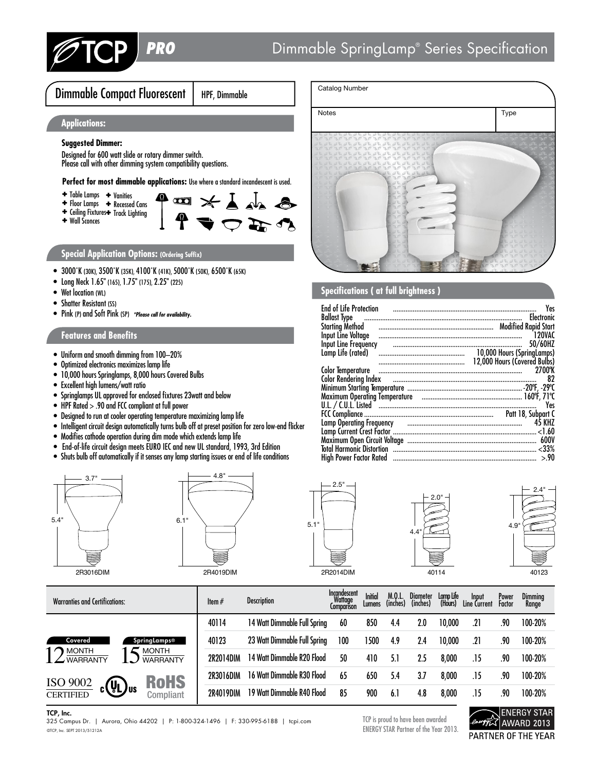

Dimmable Compact Fluorescent | HPF, Dimmable

 $A = \frac{1}{2} \times \frac{1}{2} = \frac{1}{2}$ 

# **Applications:**

## **Suggested Dimmer:**

Designed for 600 watt slide or rotary dimmer switch. Please call with other dimming system compatibility questions.

Perfect for most dimmable applications: Use where a standard incandescent is used.

- ✚ Vanities ✚ Table Lamps
- ✚ Recessed Cans ✚ Floor Lamps
- ✚ Track Lighting ✚ Ceiling Fixtures
- ✚ Wall Sconces

# **Special Application Options: (Ordering Suffix)**

- 3000˚K (30K), 3500˚K (35K), 4100˚K (41K), 5000˚K (50K), 6500˚K (65K)
- Long Neck 1.65" (165), 1.75" (175), 2.25" (225)
- Wet location (WL)
- Shatter Resistant (SS)
- Pink (P) and Soft Pink (SP) \*Please call for availability.

## **Features and Benefits**

- Uniform and smooth dimming from 100–20%
- Optimized electronics maximizes lamp life
- 10,000 hours Springlamps, 8,000 hours Covered Bulbs
- Excellent high lumens/watt ratio
- Springlamps UL approved for enclosed fixtures 23watt and below
- HPF Rated > .90 and FCC compliant at full power
- Designed to run at cooler operating temperature maximizing lamp life
- Intelligent circuit design automatically turns bulb off at preset position for zero low-end flicker
- Modifies cathode operation during dim mode which extends lamp life
- End-of-life circuit design meets EURO IEC and new UL standard, 1993, 3rd Edition
- Shuts bulb off automatically if it senses any lamp starting issues or end of life conditions











2R2014DIM

| <b>Warranties and Certifications:</b>                                                                               | Item $#$  | <b>Description</b>           | Incandescent<br>Wattage<br><b>Comparison</b> | Initial<br>Lumens | M.0.L.<br>(inches) | Diameter<br>(inches) | Lamp Life<br>(Hours) | Input<br>Line Current | Power<br>Factor | Dimming<br>Range |
|---------------------------------------------------------------------------------------------------------------------|-----------|------------------------------|----------------------------------------------|-------------------|--------------------|----------------------|----------------------|-----------------------|-----------------|------------------|
|                                                                                                                     | 40114     | 14 Watt Dimmable Full Spring | 60                                           | 850               | 4.4                | 2.0                  | 10,000               | .21                   | .90             | 100-20%          |
| SpringLamps®<br>Covered<br><b>MONTH</b><br><b>MONTH</b><br><b>WARRANTY</b><br><b>WARRANTY</b>                       | 40123     | 23 Watt Dimmable Full Spring | 100                                          | 1500              | 4.9                | 2.4                  | 10,000               | .21                   | .90             | 100-20%          |
|                                                                                                                     | 2R2014DIM | 14 Watt Dimmable R20 Flood   | 50                                           | 410               | 5.1                | 2.5                  | 8,000                | .15                   | .90             | 100-20%          |
| <b>RoHS</b><br>$\frac{\rm ISO~9002}{\rm CERTIFIED}$<br>$\int_{c}^{b}$ $\left(\frac{1}{2}\right)^{1/2}$<br>Compliant | 2R3016DIM | 16 Watt Dimmable R30 Flood   | 65                                           | 650               | 5.4                | 3.7                  | 8,000                | .15                   | .90             | 100-20%          |
|                                                                                                                     | 2R4019DIM | 19 Watt Dimmable R40 Flood   | 85                                           | 900               | 6.1                | 4.8                  | 8,000                | .15                   | .90             | 100-20%          |

### TCP, Inc.

©TCP, Inc. SEPT 2013/51212A 325 Campus Dr. | Aurora, Ohio 44202 | P: 1-800-324-1496 | F: 330-995-6188 | tcpi.com TCP is proud to have been awarded

ENERGY STAR Partner of the Year 2013.



| Catalog Number                                                                                                                    |      |
|-----------------------------------------------------------------------------------------------------------------------------------|------|
| Notes                                                                                                                             | Type |
| E NE NE NE NE NE NE NE NE NE<br>VE NE NE NE NE NE NE NE NE NE NE<br>AR AR AR AR AR AR AR AR<br>PAPAPAPAPAPAPA<br>an an an an<br>a |      |

# **Specifications ( at full brightness )**

| <b>End of Life Protection</b>                                                                                          | Yes                          |
|------------------------------------------------------------------------------------------------------------------------|------------------------------|
|                                                                                                                        |                              |
| <b>Ballast Type</b>                                                                                                    |                              |
|                                                                                                                        |                              |
| Input Line Voltage                                                                                                     | 120VAC                       |
| Input Line Frequency                                                                                                   | 50/60HZ                      |
| Lamp Life (rated)                                                                                                      |                              |
|                                                                                                                        | 12,000 Hours (Covered Bulbs) |
|                                                                                                                        | 2700°K                       |
| Color Rendering Index <b>continuum continuum continuum continuum continuum continuum continuum continuum continuum</b> | 82                           |
|                                                                                                                        |                              |
| Maximum Operating Temperature material contains and announcement of the 71°C                                           |                              |
|                                                                                                                        | Yes                          |
|                                                                                                                        |                              |
| Lamp Operating Frequency и против полности по полности по не для не на станда в С                                      | 45 KHZ                       |
|                                                                                                                        |                              |
|                                                                                                                        | <b>600V</b>                  |
|                                                                                                                        |                              |
|                                                                                                                        |                              |
| High Power Factor Rated ………………………………………………………………………………                                                                 | > 90                         |